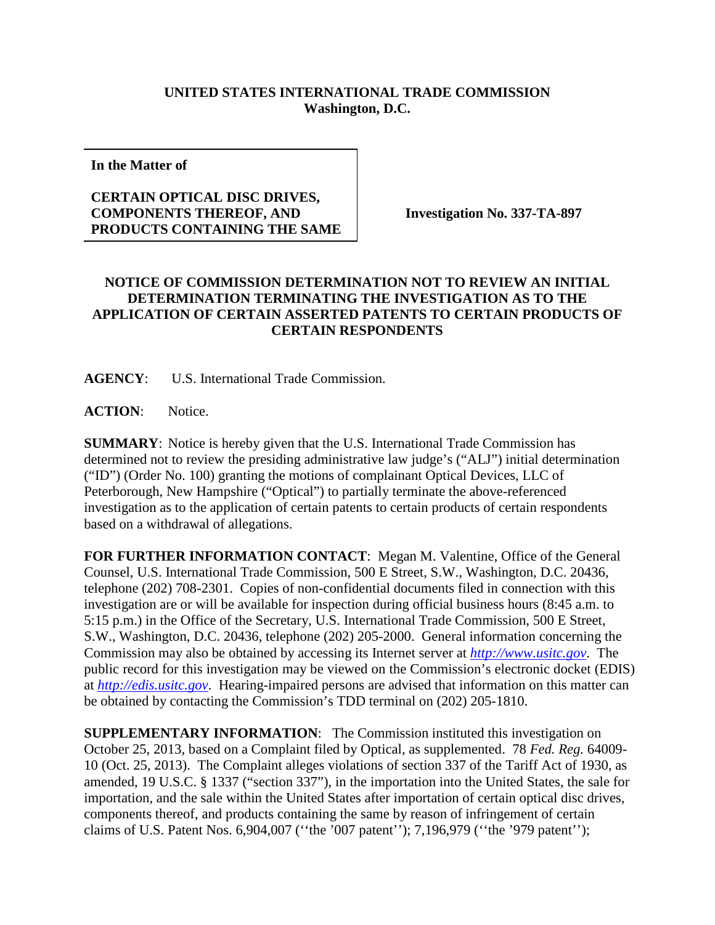## **UNITED STATES INTERNATIONAL TRADE COMMISSION Washington, D.C.**

**In the Matter of**

## **CERTAIN OPTICAL DISC DRIVES, COMPONENTS THEREOF, AND PRODUCTS CONTAINING THE SAME**

**Investigation No. 337-TA-897**

## **NOTICE OF COMMISSION DETERMINATION NOT TO REVIEW AN INITIAL DETERMINATION TERMINATING THE INVESTIGATION AS TO THE APPLICATION OF CERTAIN ASSERTED PATENTS TO CERTAIN PRODUCTS OF CERTAIN RESPONDENTS**

**AGENCY**: U.S. International Trade Commission.

ACTION: Notice.

**SUMMARY**: Notice is hereby given that the U.S. International Trade Commission has determined not to review the presiding administrative law judge's ("ALJ") initial determination ("ID") (Order No. 100) granting the motions of complainant Optical Devices, LLC of Peterborough, New Hampshire ("Optical") to partially terminate the above-referenced investigation as to the application of certain patents to certain products of certain respondents based on a withdrawal of allegations.

**FOR FURTHER INFORMATION CONTACT**: Megan M. Valentine, Office of the General Counsel, U.S. International Trade Commission, 500 E Street, S.W., Washington, D.C. 20436, telephone (202) 708-2301. Copies of non-confidential documents filed in connection with this investigation are or will be available for inspection during official business hours (8:45 a.m. to 5:15 p.m.) in the Office of the Secretary, U.S. International Trade Commission, 500 E Street, S.W., Washington, D.C. 20436, telephone (202) 205-2000. General information concerning the Commission may also be obtained by accessing its Internet server at *[http://www.usitc.gov](http://www.usitc.gov/)*. The public record for this investigation may be viewed on the Commission's electronic docket (EDIS) at *[http://edis.usitc.gov](http://edis.usitc.gov/)*. Hearing-impaired persons are advised that information on this matter can be obtained by contacting the Commission's TDD terminal on (202) 205-1810.

**SUPPLEMENTARY INFORMATION:** The Commission instituted this investigation on October 25, 2013, based on a Complaint filed by Optical, as supplemented. 78 *Fed. Reg.* 64009- 10 (Oct. 25, 2013). The Complaint alleges violations of section 337 of the Tariff Act of 1930, as amended, 19 U.S.C. § 1337 ("section 337"), in the importation into the United States, the sale for importation, and the sale within the United States after importation of certain optical disc drives, components thereof, and products containing the same by reason of infringement of certain claims of U.S. Patent Nos. 6,904,007 (''the '007 patent''); 7,196,979 (''the '979 patent'');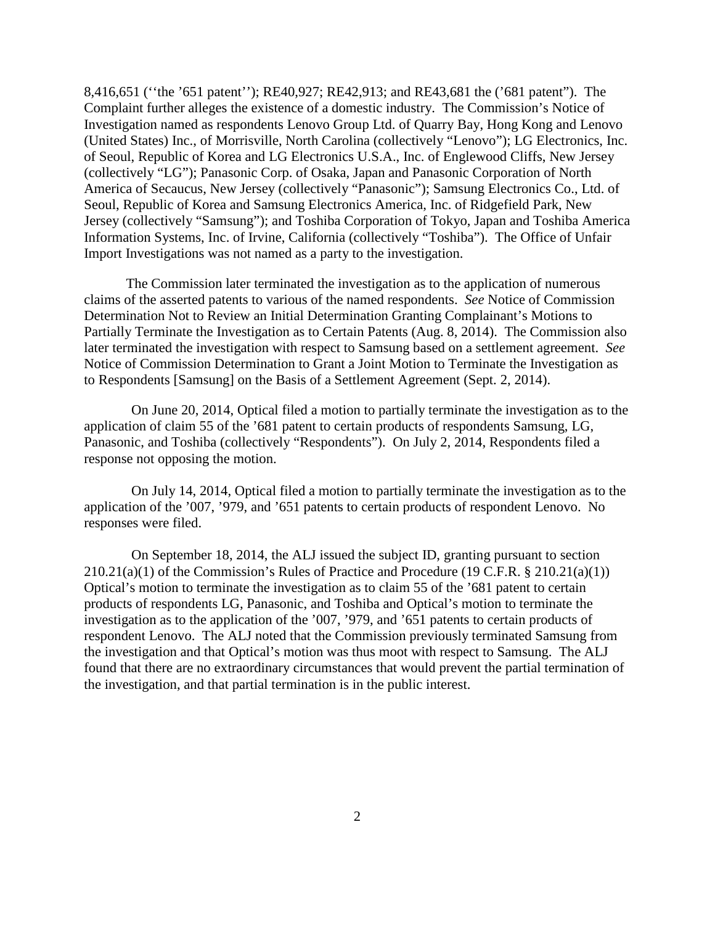8,416,651 (''the '651 patent''); RE40,927; RE42,913; and RE43,681 the ('681 patent"). The Complaint further alleges the existence of a domestic industry. The Commission's Notice of Investigation named as respondents Lenovo Group Ltd. of Quarry Bay, Hong Kong and Lenovo (United States) Inc., of Morrisville, North Carolina (collectively "Lenovo"); LG Electronics, Inc. of Seoul, Republic of Korea and LG Electronics U.S.A., Inc. of Englewood Cliffs, New Jersey (collectively "LG"); Panasonic Corp. of Osaka, Japan and Panasonic Corporation of North America of Secaucus, New Jersey (collectively "Panasonic"); Samsung Electronics Co., Ltd. of Seoul, Republic of Korea and Samsung Electronics America, Inc. of Ridgefield Park, New Jersey (collectively "Samsung"); and Toshiba Corporation of Tokyo, Japan and Toshiba America Information Systems, Inc. of Irvine, California (collectively "Toshiba"). The Office of Unfair Import Investigations was not named as a party to the investigation.

The Commission later terminated the investigation as to the application of numerous claims of the asserted patents to various of the named respondents. *See* Notice of Commission Determination Not to Review an Initial Determination Granting Complainant's Motions to Partially Terminate the Investigation as to Certain Patents (Aug. 8, 2014). The Commission also later terminated the investigation with respect to Samsung based on a settlement agreement. *See* Notice of Commission Determination to Grant a Joint Motion to Terminate the Investigation as to Respondents [Samsung] on the Basis of a Settlement Agreement (Sept. 2, 2014).

On June 20, 2014, Optical filed a motion to partially terminate the investigation as to the application of claim 55 of the '681 patent to certain products of respondents Samsung, LG, Panasonic, and Toshiba (collectively "Respondents"). On July 2, 2014, Respondents filed a response not opposing the motion.

On July 14, 2014, Optical filed a motion to partially terminate the investigation as to the application of the '007, '979, and '651 patents to certain products of respondent Lenovo. No responses were filed.

On September 18, 2014, the ALJ issued the subject ID, granting pursuant to section  $210.21(a)(1)$  of the Commission's Rules of Practice and Procedure (19 C.F.R. § 210.21(a)(1)) Optical's motion to terminate the investigation as to claim 55 of the '681 patent to certain products of respondents LG, Panasonic, and Toshiba and Optical's motion to terminate the investigation as to the application of the '007, '979, and '651 patents to certain products of respondent Lenovo. The ALJ noted that the Commission previously terminated Samsung from the investigation and that Optical's motion was thus moot with respect to Samsung. The ALJ found that there are no extraordinary circumstances that would prevent the partial termination of the investigation, and that partial termination is in the public interest.